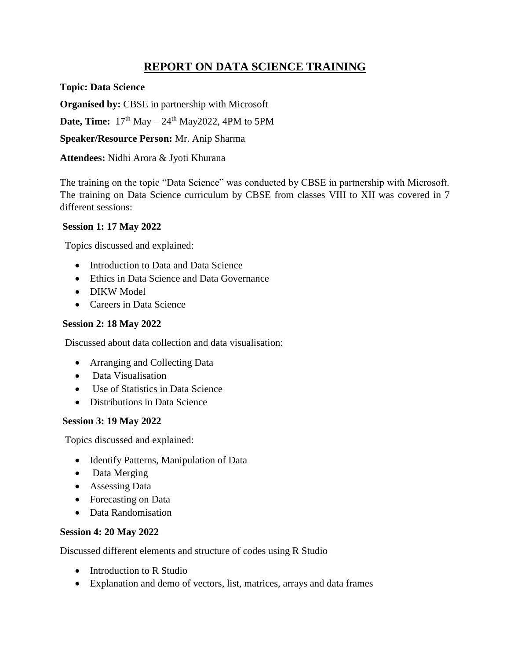# **REPORT ON DATA SCIENCE TRAINING**

**Topic: Data Science**

**Organised by:** CBSE in partnership with Microsoft

**Date, Time:**  $17<sup>th</sup>$  May –  $24<sup>th</sup>$  May2022, 4PM to 5PM

**Speaker/Resource Person:** Mr. Anip Sharma

**Attendees:** Nidhi Arora & Jyoti Khurana

The training on the topic "Data Science" was conducted by CBSE in partnership with Microsoft. The training on Data Science curriculum by CBSE from classes VIII to XII was covered in 7 different sessions:

## **Session 1: 17 May 2022**

Topics discussed and explained:

- Introduction to Data and Data Science
- Ethics in Data Science and Data Governance
- DIKW Model
- Careers in Data Science

# **Session 2: 18 May 2022**

Discussed about data collection and data visualisation:

- Arranging and Collecting Data
- Data Visualisation
- Use of Statistics in Data Science
- Distributions in Data Science

## **Session 3: 19 May 2022**

Topics discussed and explained:

- Identify Patterns, Manipulation of Data
- Data Merging
- Assessing Data
- Forecasting on Data
- Data Randomisation

## **Session 4: 20 May 2022**

Discussed different elements and structure of codes using R Studio

- Introduction to R Studio
- Explanation and demo of vectors, list, matrices, arrays and data frames